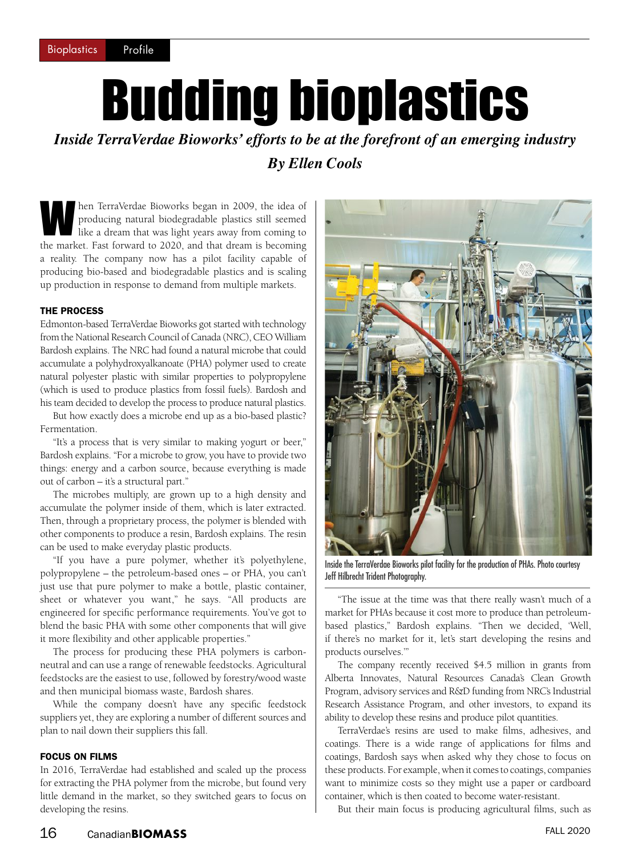## Budding bioplastics

*Inside TerraVerdae Bioworks' efforts to be at the forefront of an emerging industry By Ellen Cools*

hen TerraVerdae Bioworks began in 2009, the idea of producing natural biodegradable plastics still seemed like a dream that was light years away from coming to the merids. East forward to 2020, and that dream is becoming producing natural biodegradable plastics still seemed the market. Fast forward to 2020, and that dream is becoming a reality. The company now has a pilot facility capable of producing bio-based and biodegradable plastics and is scaling up production in response to demand from multiple markets.

## THE PROCESS

Edmonton-based TerraVerdae Bioworks got started with technology from the National Research Council of Canada (NRC), CEO William Bardosh explains. The NRC had found a natural microbe that could accumulate a polyhydroxyalkanoate (PHA) polymer used to create natural polyester plastic with similar properties to polypropylene (which is used to produce plastics from fossil fuels). Bardosh and his team decided to develop the process to produce natural plastics.

But how exactly does a microbe end up as a bio-based plastic? Fermentation.

"It's a process that is very similar to making yogurt or beer," Bardosh explains. "For a microbe to grow, you have to provide two things: energy and a carbon source, because everything is made out of carbon – it's a structural part."

The microbes multiply, are grown up to a high density and accumulate the polymer inside of them, which is later extracted. Then, through a proprietary process, the polymer is blended with other components to produce a resin, Bardosh explains. The resin can be used to make everyday plastic products.

"If you have a pure polymer, whether it's polyethylene, polypropylene – the petroleum-based ones – or PHA, you can't just use that pure polymer to make a bottle, plastic container, sheet or whatever you want," he says. "All products are engineered for specific performance requirements. You've got to blend the basic PHA with some other components that will give it more flexibility and other applicable properties."

The process for producing these PHA polymers is carbonneutral and can use a range of renewable feedstocks. Agricultural feedstocks are the easiest to use, followed by forestry/wood waste and then municipal biomass waste, Bardosh shares.

While the company doesn't have any specific feedstock suppliers yet, they are exploring a number of different sources and plan to nail down their suppliers this fall.

## FOCUS ON FILMS

In 2016, TerraVerdae had established and scaled up the process for extracting the PHA polymer from the microbe, but found very little demand in the market, so they switched gears to focus on developing the resins.



Inside the TerraVerdae Bioworks pilot facility for the production of PHAs. Photo courtesy Jeff Hilbrecht Trident Photography.

"The issue at the time was that there really wasn't much of a market for PHAs because it cost more to produce than petroleumbased plastics," Bardosh explains. "Then we decided, 'Well, if there's no market for it, let's start developing the resins and products ourselves.'"

The company recently received \$4.5 million in grants from Alberta Innovates, Natural Resources Canada's Clean Growth Program, advisory services and R&D funding from NRC's Industrial Research Assistance Program, and other investors, to expand its ability to develop these resins and produce pilot quantities.

TerraVerdae's resins are used to make films, adhesives, and coatings. There is a wide range of applications for films and coatings, Bardosh says when asked why they chose to focus on these products. For example, when it comes to coatings, companies want to minimize costs so they might use a paper or cardboard container, which is then coated to become water-resistant.

But their main focus is producing agricultural films, such as